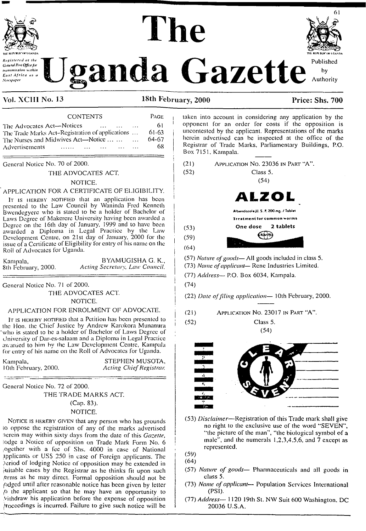

Registered at th General Post Office for *iconsmission* within **East Africa as a Newspaper** 

# The



#### Vol. XCIII No. 13

18th February, 2000

PAGE

#### Price: Shs. 700

#### **CONTENTS**

| The Advocates Act-Notices                        |                                                                                                                |  | $\mathbf{r} = \mathbf{r} \cdot \mathbf{r}$ , $\mathbf{r} = \mathbf{r} \cdot \mathbf{r}$ , $\mathbf{r} = \mathbf{r} \cdot \mathbf{r}$ , $\mathbf{r} = \mathbf{r} \cdot \mathbf{r}$ | -61    |
|--------------------------------------------------|----------------------------------------------------------------------------------------------------------------|--|-----------------------------------------------------------------------------------------------------------------------------------------------------------------------------------|--------|
| The Trade Marks Act-Registration of applications |                                                                                                                |  |                                                                                                                                                                                   | 61-63  |
| The Nurses and Midwives Act-Notice               |                                                                                                                |  |                                                                                                                                                                                   | -64-67 |
| Advertisements                                   | a consideration of the contract of the construction of the construction of the contract of the contract of the |  |                                                                                                                                                                                   | -68    |

General Notice No. 70 of 2000.

#### THE ADVOCATES ACT.

#### NOTICE.

#### APPLICATION FOR A CERTIFICATE OF ELIGIBILITY.

IT IS HEREBY NOTIFIED that an application has been presented to the Law Council by Waninda Fred Kenneth<br>Bwendegyere who is stated to be a holder of Bachelor of Laws Degree of Makerere University having been awarded a Degree on the 16th day of January, 1999 and to have been<br>awarded a Diploma in Legal Practice by the Law Development Centre, on 21st day of January, 2000 for the issue of a Certificate of Eligibility for entry of his name on the Roll of Advocates for Uganda.

Kampala, 8th February, 2000.

**BYAMUGISHA G. K.,** Acting Secretary, Law Council.

General Notice No. 71 of 2000.

THE ADVOCATES ACT. NOTICE.

#### APPLICATION FOR ENROLMENT OF ADVOCATE.

It is HEREBY NOTIFIED that a Petition has been presented to the Hon, the Chief Justice by Andrew Karokora Munanura who is stated to be a holder of Bachelor of Laws Degree of University of Dar-es-salaam and a Diploma in Legal Practice awarded to him by the Law Development Centre, Kampala for entry of his name on the Roll of Advocates for Uganda.

| Kampala, |                     |  |
|----------|---------------------|--|
|          | 10th February, 2000 |  |

STEPHEN MUSOTA. Acting Chief Registrar.

General Notice No. 72 of 2000. THE TRADE MARKS ACT. (Cap. 83). NOTICE.

NOTICE IS HEREBY GIVEN that any person who has grounds to oppose the registration of any of the marks advertised nerein may within sixty days from the date of this Gazette, lodge a Notice of opposition on Trade Mark Form No. 6 ogether with a fee of Shs. 4000 in case of National applicants or US\$ 250 in case of Foreign applicants. The period of lodging Notice of opposition may be extended in juitable cases by the Registrar as he thinks fit upon such erms as he may direct. Formal opposition should not be odged until after reasonable notice has been given by letter o the applicant so that he may have an opportunity to Vithdraw his application before the expense of opposition Proceedings is incurred. Failure to give such notice will be

taken into account in considering any application by the opponent for an order for costs if the opposition is uncontested by the applicant. Representations of the marks herein advertised can be inspected at the office of the Registrar of Trade Marks, Parliamentary Buildings, P.O. Box 7151, Kampala.

Class 5.

APPLICATION NO. 23036 IN PART "A".  $(21)$ 



(57) Nature of goods— All goods included in class 5.

(73) Name of applicant-Rene Industries Limited.

(77) Address- P.O. Box 6034, Kampala.

 $(74)$ 

 $(52)$ 

 $(53)$ 

 $(59)$ 

 $(64)$ 

 $(52)$ 

(22) Date of filing application-10th February, 2000.

- APPLICATION NO. 23017 IN PART "A".  $(21)$ 
	- Class 5.

 $(54)$ 



(53) Disclaimer—Registration of this Trade mark shall give no right to the exclusive use of the word "SEVEN", "the picture of the man", "the biological symbol of a male", and the numerals  $1,2,3,4,5,6$ , and  $7$  except as represented.

 $(59)$  $(64)$ 

- (57) Nature of goods- Pharmaceuticals and all goods in class 5.
- (73) Name of applicant- Population Services International  $(PSI).$
- (77) Address-1120 19th St. NW Suit 600 Washington, DC 20036 U.S.A.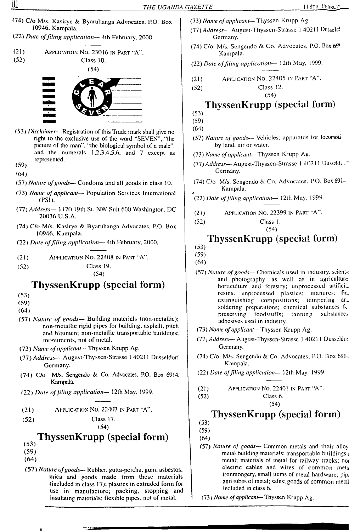- f74) C/o M/s. Kasiryc & Byaruhanga Advocates, P.O. Box 10946, Kampala.
- (22) *Date offiling application—* 4th February. 2000.
- (21) Application No. 23016 in Part "A". (52) Class 10.



- (53) *Disclaimer—*Registration ofthis Trade mark shall give no right to the exclusive use of the word "SEVEN", "the picture of the man", "the biological symbol of a male", and the numerals 1,2,3,4,5,6, and 7 except as represented.
- (59)
- '64)
- (57) *Nature ofgoods—* Condoms and all goods in class 10.
- (73) *Name of applicant—* Population Services International (PSI J.
- (77) *Address—* 1120 19th St. NW Suit 600 Washington, DC 20036 U.S.A.
- (74) C/o M/s. Kasiryc &. Byaruhanga Advocates, P.O. Box 10946. Kampala.
- (22) *Date offding application—* 4th February, 2000.
- (21) Application No. 22408 in Part "A".
- (52) Class 19.

(54)

# **ThyssenKrupp (special form)**

- (53)
- (59)
- (64)
- (57) *Nature of goods—* Building materials (non-mctallic); non-metallic rigid pipes for building; asphalt, pitch and bitumen; non-mctallic transportable buildings; monuments, not of metal.
- (73) *Name ofapplicant—* Thyssen Krupp Ag.
- (77) *Address—* August-Thysscn-Strasse <sup>1</sup> 40211 Dusseldorf Germany.
- (74) C/o M/s. Sengendo & Co. Advocates. P.O. Box 6914, Kampala.
- (22) *Date offding application—* <sup>1</sup>2lh May, 1999.
- (21) Application No. 22407 in Part "A".

```
(52) Class 17.
```
(54)

# **ThyssenKrupp (special form)**

- $(53)$
- (59)
- (64)
- *(ST) Nature ofgoods—* Rubber, gutta-percha, gum, asbestos, mica and goods made from these materials (included in class 17); plastics in extruded form for use in manufacture; packing, stopping and insulating materials; flexible pipes, not of metal.
- (73) *Name ofapplicant*—Thyssen Krupp Ag.
- (77) *Address—*August-Thysscn-Strasse <sup>1</sup> 40211 Dusscl^ Germany.
- (74) C/o M/s. Sengendo & Co. Advocates. P.O. Box 69\* Kampala.
- (22) *Date offding application—* 12th May, 1999.
- (21) Application No. 22405 in Part "A".

(52) Class 12.

### (54) **ThyssenKrupp (special form)**

- (53)
- (59)
- (64)
- (57) *Nature ofgoods—* Vehicles; apparatus for locoinoli by land, air or water.
- (73) *Name ofapplicant*—Thyssen Krupp Ag.
- (77) *Address—*August-Thysscn-Strassc <sup>1</sup> 4021<sup>1</sup> Dusscld< Germany.
- (74) C/o M/s. Scngendo & Co. Advocates. P.O. Box 691- Kampala.
- (22) *Date offding application—* 12th May, 1999.
- (21) Application No. 22399 in Part "A".
- (52) Class 1. (54)

# **ThyssenKrupp (special form)**

- (53)
- (59)

(64)

- (57) *Nature of goods—* Chemicals used in industry, science and photography, as well as in agriculture horticulture and forestry; unprocessed artifici. resins, unprocessed plastics; manures; fir., extinguishing compositions; tempering ansoldering preparations; chemical substances for preserving foodstuffs; tanning substances preserving foodstuffs; adhesives used in industry.
- *(73) Name ofapplicant—Thyssen* Krupp Ag.
- (77/ *Address—*August-Thyssen-Strassc <sup>1</sup> 4021 <sup>1</sup> Dusscldor Germany.
- (74) C/o M/s. Scngendo & Co. Advocates. P.O. Box 691 Kampala.
- (22) *Date offiling application—* 12th May, 1999.
- (21) Application No. 22401 in Part "A".
- (52) Class 6. (54)

# **ThyssenKrupp (special form)**

- (53)
- (59)
- (64)
- (57) *Nature of goods—* Common metals and their allo\ metal building materials; transportable buildings <sup>&</sup>lt; metal; materials of metal for railway tracks; no electric cables and wires of common meta ironmongery, small items of metal hardware; pip. and tubes of metal; safes; goods of common metal included in class 6.
- *(73) Name ofapplicant—* Thyssen Krupp Ag.

₩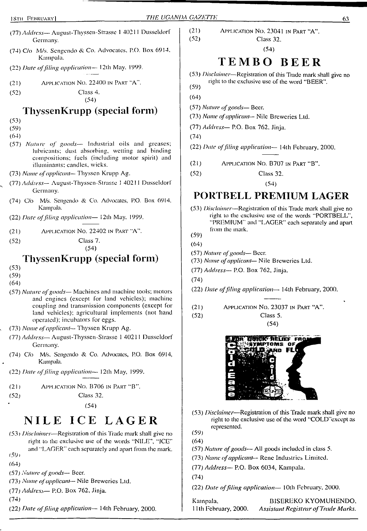- (77) *Address—*August-Thyssen-Strasse <sup>1</sup> <sup>40211</sup> Dusseldorf Germany.
- (74) C/o M/s. Scngendo & Co. Advocates. P.O. Box 6914. Kampala.
- (22) *Date offiling application—* 12th May. 1999.
- (21) Application No. 22400 in Part "A".
- (52) Class 4.

## **ThyssenKrupp (special form)**

- (53)
- (59)
- (64)
- (57) *Nature of goods—* Industrial oils and greases; lubricants; dust absorbing, wetting and binding compositions; fuels (including motor spirit) and illuminants; candles, wicks.
- (73) *Name ofapplicant* Thyssen Krupp Ag.
- (77) *Address—* August-Thyssen-Sirasse <sup>J</sup> 40211 Dusseldorf Germany.
- (74) C/o M/s. Scngendo & Co. Advocates, P.O. Box 6914. Kampala.
- (22) *Date offiling application—* <sup>1</sup>2th May. 1999.
- (21) Application No. 22402 in Part "A".
- (52) Class 7.

(54)

#### **ThyssenKrupp (special form)**

- (53)
- (59)
- (64)
- (57) *Nature ofgoods—* Machines and machine tools; motors and engines (except for land vehicles); machine coupling and transmission components (except for land vehicles); agricultural implements (not hand operated); incubators for eggs.
- (73) *Name ofapplicant* Thyssen Krupp Ag.
- (77) *Address—*August-Thyssen-Sirasse <sup>1</sup> 40211 Dusseldorf Germany.
- (74) C/o M/s. Scngendo & Co. Advocates, P.O. Box 6914, Kampala.
- (22) *Date offiling application—* 12th May, 1999.
- (21) Application No. B706 in Part "B".
- (52) Class 32.

(54)

# NILE ICE LAGER

- (53) *Disclaimer—*Registration of this Trade mark shall give no right to the exclusive use of the words "NILE", "ICE" and "LAGER" each separately and apart from the mark. (59*<sup>1</sup>*
- 
- (64)
- (57) *Nature ofgoods—* Beer.
- (73) *Name ofapplicant* Nile Breweries Ltd.
- (77) *Address—* P.O. Box 762, Jinja.
- (74)
- (22) *Date offiling application—* 14th February, 2000.

(21) Application No. 23041 in Part "A". Class 32.

(54)

# TEMBO BEER

- (53) *Disclaimer*—Registration of this Trade mark shah give no right to the exclusive use of the word "BEER". (59)
- (64)
- (57) *Nature ofgoods—* Beer.
- (73) *Name ofapplicant—* Nile Breweries Ltd.
- (77) *Address—* P.O. Box 762, Jinja.
- (74)
- (22) *Date offiling application* 14th February, 2000.
- (21) Application No. B707 in Part "B".
- (52) Class 32.

(54)

# **PORTBELL PREMIUM LAGER**

(53) *Disclaimer—*Registration of this Trade mark shall give no right to the exclusive use of the words "PORTBELL", "PREMIUM" and "LAGER" each separately and apart from the mark.

(59)

- (64)
- (57) *Nature ofgoods—* Beer.
- (73) *Name ofapplicant—* Nile Breweries Ltd.
- (77) *Address—* P.O. Box 762, Jinja.

(74)

- (22) *Date offling application*—■ 14th February, 2000.
- (21) Application No. 23037 in Part "A".
- (52) Class 5.

(54)



- (53) *Disclaimer*—Registration of this Trade mark shall give no right to the exclusive use of the word "COLD'except as represented. (59)
- (64)
- (57) *Nature ofgoods—* All goods included in class 5.
- (73) *Name ofapplicant—* Rene Industries Limited.
- (77) *Address—* P.O. Box 6034, Kampala.

(74)

(22) *Date offiling application—* 10th February, 2000.

Kampala, B1SEREKO KYOMUHENDO. 11th February, 2000. *Assistant Registrar ofTrade Marks.*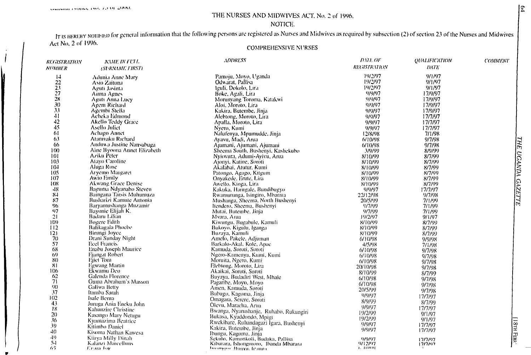#### 1 HE NURSES AND MIDWIVES ACT. No. 2 of 1996.

#### NOTICE.

IT IS HEREBY NOTIFIED for general information that the following persons are registered as Nurses and Midwives as required by subsection (2) of section 23 of the Nurses and Midwives Act No. 2 of 1996.

#### COMPREHENSIVE NURSES

| <b>REGISTRATION</b> | <b>NAME IN TULL</b>             | <b>ADDRESS</b>                                                                                       | <b>DATE OF</b>       | <b>QUALIFICATION</b> | <b>COMMENT</b> |
|---------------------|---------------------------------|------------------------------------------------------------------------------------------------------|----------------------|----------------------|----------------|
| <b>NUMBER</b>       | <b>(SURNAME FIRST)</b>          |                                                                                                      | <b>REGISTRATION</b>  | DATE <sup>®</sup>    |                |
| $\vert 4$           | Adunia Anne Mary                | Pamoju, Moyo, Uganda                                                                                 | 19/2/97              | 9/1/97               |                |
| 22                  | Asio Zaituna                    | Odwarat, Pallisa                                                                                     | 19/2/97              | 9/1/97               |                |
|                     | Aguti Jasinta                   | Iguli, Dokolo, Lira                                                                                  | 19/2/97              | 9/1/97               |                |
| $\frac{23}{27}$     | Auma Agnes                      | Boke, Agali, Lira                                                                                    | 9/9/97               | 17/9/97              |                |
| 28                  | Aguti Anna Lucy                 | Morunyang Toroma, Katakwi                                                                            | 9/9/97               | 17/9/97              |                |
| 30                  |                                 | Aloi, Moroto, Lira                                                                                   | 9/9/97               | 17/9/97              |                |
| 33                  | Agem Richard<br>Agembi Stella   |                                                                                                      |                      |                      |                |
| 41                  |                                 | Kakira, Butembe, Jinja                                                                               | 9/9/97               | 17/9/97              |                |
|                     | Acheka Edmond                   | Alebtong, Moroto, Lira                                                                               | 9/9/97               | 17/7/97              |                |
| 42                  | Akello Teddy Grace              | Apalla, Moroto, Lira                                                                                 | 9/9/97               | 17/7/97              |                |
| 45                  | Asello Julief                   | Nyero, Kumi                                                                                          | 9/9/97               | 17/7/97              |                |
| 61                  | <b>Achago Annet</b>             | Nalufenya, Mpumudde, Jinja                                                                           | 12/8/98              | 7/1/98               |                |
| 63                  | Atamvaku Richard                | Ayavu, Madi, Arua                                                                                    | 6/10/98              | 9/7/98               |                |
| 66                  | Anduwa Justine Nansubuga        | Ajumani, Ajumani, Ajumani                                                                            | 6/10/98              | 9/7/98               |                |
| 100                 | Aine Byoona Annet Elizabeth     | Sheema South, Bushenyi, Kashekubo                                                                    | 3/9/99               | 8/9/99               |                |
| 101                 | Aziku Peter                     | Nyiovura, Adumi-Ayivu, Arua                                                                          | 8/10/99              | 8/7/99               |                |
| 103                 | Atayo Caroline                  | Ajonyi, Katine, Soroti                                                                               | 8/10/99              | 8/7/99               |                |
| 104                 | Aluga Rose                      | Akalabai, Atutur, Kumi                                                                               | 8/10/99              | 8/7/99               |                |
| 105                 | Aryemo Margaret                 | Patongo, Agago, Kitgum                                                                               | 8/10/99              | 8/7/99               |                |
| 107                 | Awio Emily                      | Onyakede, Erute, Lira                                                                                | 8/10/99              | 8/7/99               |                |
| 108                 | <b>Akwang Grace Denise</b>      | Awello, Kioga, Lira                                                                                  | 8/10/99              | 8/7/99               |                |
| 48                  | Baguma Ndyanabo Steven          | Kakuka, Harugale, Bundibugyo                                                                         | 9/9/97               | 17/7/97              |                |
| 84                  | Baingana Tarsis Muhumuza        |                                                                                                      | 22/12/98             | 9/7/98               |                |
| 87                  | Busharizi Kamute Antonia        | Rwamurunga, Isingiro, Mbarara                                                                        |                      |                      |                |
|                     |                                 | Mushanga, Sheema, North Bushenyi                                                                     | 20/5/99              | 7/1/99               |                |
| 96.                 | Baryamushanga Muzamir           | Itendero, Sheema, Bushenyi                                                                           | 9/7/99               | 7/1/99               |                |
| 97                  | Bayonie Elijah K.               | Mutai, Butembe, Jinja                                                                                | 9/7/99               | 7/1/99               |                |
| 21                  | Badaru Lilian                   | Mvara, Arua                                                                                          | 19/2/97              | 9/1/97               |                |
| 109                 | <b>Bogere Edith</b>             | Kiwungu, Bugabule, Kamuli                                                                            | 8/10/99              | 8/7/99               |                |
| 112                 | Balikagala Phoche               | Bukoyo, Kigulu, Iganga                                                                               | 8/10/99              | 8/7/99               |                |
| 121                 | Birangi Joyce                   | Buzaya, Kamuli                                                                                       | 8/10/99              | 8/7/99               |                |
| 70                  | Drani Sunday Night              | Amelo, Pakele, Adjuman                                                                               | 6/10/98              | 9/9/98               |                |
| 57                  | <b>Ecel Francis</b>             | Barkalo-Akal, Kole, Apac                                                                             | 4/5/98               | 7/1/98               |                |
| 68                  | Enabu Joseph Maurice            | Kamuda, Soroti, Soroti                                                                               | 6/10/98              | 9/7/98               |                |
| $(5^0)$             | Ejangat Robert                  | Ngero-Kamenya, Kumi, Kumi                                                                            | 6/10/98              | 9/7/98               |                |
| 80                  | Ejiet Tom                       | Moruita, Ngero, Kumi                                                                                 | 6/10/98              | 9/7/98               |                |
| -81                 | Egwang Martin                   | Elebtong, Moroto, Lira                                                                               | 20/10/98             | 9/7/98               |                |
| 106                 | Ekwamu Deo                      | Akaikai, Soroti, Soroti                                                                              | 8/10/99              | 8/7/99               |                |
| 62                  | Galenda Florence                | Buyaya, Budadiri West, Mbale                                                                         | 6/10/98              | 9/7/98               |                |
| 71                  | Guma Abrahum's Masson           | Pagaribe, Moyo, Moyo                                                                                 | 6/10/98              | 9/7/98               |                |
| 90                  | Galiwa Betty                    | Amen, Kamuda, Soroti                                                                                 | 20/5/99              |                      |                |
| 37                  | Itamba Sarah                    | Bubugo, Kagoma, Jinja                                                                                | 9/9/97               | 9/7/98               |                |
| 102                 | Isale Berna                     | Omagara, Serere, Soroti                                                                              |                      | 17/7/97              |                |
| 43                  | Juruga Ania Eacku John          | Olevu, Maracha, Arua                                                                                 | 8/9/99               | 8/7/99               |                |
| 18                  | Kahunzire Christine             | Bwanga, Nyarushanje, Rubabo, Rukungiri                                                               | 9/9/97               | 17/7/97              |                |
| 20                  | Kasango Mary Netugu             |                                                                                                      | 19/2/99              | 9/1/97               |                |
| 36                  | Kyamazima Beatrice              | Bukasa, Kyaddondo, Mpigi                                                                             | 19/2/99              | 9/1/97               |                |
| 39                  | Kitimbo Daniel                  | Rwekibare, Ruhandagazi Igara, Bushenyi                                                               | 9/9/97               | 17/7/97              |                |
| 40                  | Kisoma Nathan Kawesa            | Kakira, Butembe, Jinja                                                                               | 9/9/97               | 17/7/97              |                |
| 49                  |                                 |                                                                                                      |                      |                      |                |
| $5 - 1$             | Kiirya Milly Dinah              | Ibungu, Kagoma, Jinja<br>Sekulo, Kamonkoli, Budaka, Pallisa<br>Kiburara, Ishongororo, Ibanda Mbarara | 9/9/97               | 17/7/97              |                |
| 65                  | Kalanzi Marcelluns<br>Thoma lov | biengen Himva Irauna.                                                                                | 9/12/97<br>4.2189110 | רמלולן               |                |
|                     |                                 |                                                                                                      |                      |                      |                |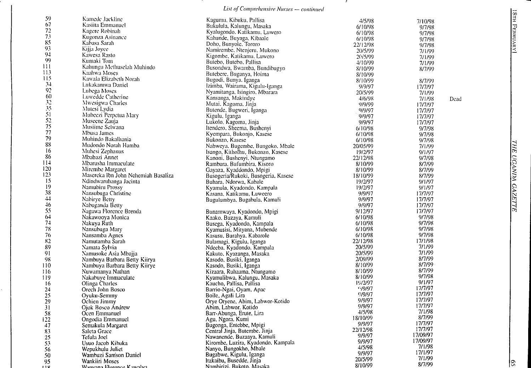#### *Lisi ofComprehensive Nurses — continued*

 $\mathbf{z}$ 

| 59   | Kamede Jackline                     | Kagumu, Kibuku, Pallisa             | 4/5/98   | 7/10/98        |
|------|-------------------------------------|-------------------------------------|----------|----------------|
| 67   | Kasiita Emmanuel                    | Bukulula, Kalungu, Masaka           | 6/10/98  | 9/7/98         |
| 72   | Kagere Robinah                      | Kyalugondo, Katikamu, Luwero        | 6/10/98  | 9/7/98         |
| 73   | Kugonza Asinance                    | Kahunde, Buyaga, Kibaale            | 6/10/98  | 9/7/98         |
| 85   | Kabasa Sarah                        | Doho, Bunyole, Tororo               | 22/12/98 | 9/7/98         |
| 93   | Kijja Joyce                         | Namirembe, Ntenjeru, Mukono         | 20/5/99  | 7/1/99         |
| 94   | Kawesa Rasto                        | Kigombe, Katikamu, Luwero           | 2(y5/99) | 7/1/99         |
| 99   | Kumaki Tom                          | Butebo, Butebo, Pallisa             |          |                |
| Ш    | Kahungu Methuselah Muhindo          | Busondwa, Bwamba, Bundibugyo        | 4/10/99  | 7/1/99         |
| 113  | Kaaliwa Moses                       | Butebere, Buganya, Hoima            | 8/10/99  | 8/7/99         |
| 115  | Kawala Elizabeth Norah              |                                     | 8/10/99  |                |
| $3+$ | Lukakamwa Daniel                    | Bugodi, Bunya, Iganga               | 8/10/99  | 8/7/99         |
| 92   | Lubega Moses                        | Izimba, Wairama, Kigulu-Iganga      | 9/9/97   | 17/7/97        |
| 60   |                                     | Nyamitanga, Isingiro, Mbarara       | 20/5/99  | 7/1/99         |
| 32   | Luwedde Catherine                   | Kansanga, Makindye                  | 4/6/98   | 7/1/98<br>Dead |
| 35   | Mwesigwa Charles                    | Mutai, Kagoma, Jinja                | 9/9/99   | 17/7/97        |
|      | Mutesi Lydia                        | Butende, Bugweri, Iganga            | 9/9/97   | 17/7/97        |
| 51   | Mubeezi Perpetua Mary               | Kigulu, Iganga                      | 9/9/97   | 17/7/97        |
| 52   | Museene Zauja                       | Lukolo, Kagoma, Jinja               | 9/9/97   | 17/7/97        |
| 75   | Muslime Selwana                     | Itendero, Sheema, Bushenyi          | 6/10/98  | 9/7/98         |
| 77   | Mbusa James                         | Kyempara, Bukonjo, Kasese           | 6/10/98  | 9/7/98         |
| 79   | Muhindo Bakalhania                  | Bukonzo, Kasese                     | 6/10/98  | 9/7/98         |
| 88   | Mudondo Norah Hamba                 | Nabweya, Bugembe, Bungoko, Mbale    | 20/05/99 | 7/1/99         |
| 16   | Muhesi Zephanus                     | Isango, Kitholhu, Bukonzo, Kasese   | 19/2/97  | 9/1/97         |
| 86   | Mbabazi Annet                       | Kanoni, Bushenyi, Ntungamo          | 22/12/98 | 9/7/98         |
| 114  | Mbarusha Immaculate                 | Rambura, Bufumbira, Kisoro          | 8/10/99  | 8/7/99         |
| 120  | Mirembe Margaret                    | Gayaza, Kyaddondo, Mpigi            | 8/10/99  | 8/7/99         |
| 123  | Masereka Ibn John Nehemiah Basaliza | Busogeria/Rukoki, Busogeria, Kasese | 18/10/99 | 8/7/99         |
| 15   | Ndindwaruhanga Jacinta              | Buhara, Ndorwa, Kabale              | 19/2/97  | 9/1/97         |
| 19   | Namubiru Prossy                     | Kyamula, Kyadondo, Kampala          | 19/2/97  | 9/1/97         |
| 38   | Nansubuga Christine                 |                                     | 9/9/97   |                |
| 44   |                                     | Kasana, Katikamu, Luweero           |          | 17/7/97        |
| 46   | Nabirye Betty                       | Bugulumbya, Bugabula, Kamuli        | 9/9/97   | 17/7/97        |
|      | Nabuganda Betty                     |                                     | 9/9/97   | 17/7/97        |
| 55   | Nagawa Florence Brenda              | Bunamwaya, Kyadondo, Mpigi          | 9/12/97  | 17/7/97        |
| 64   | Nakawooya Monica                    | Kaako, Buzaya, Kamuli               | 6/10/98  | 9/7/98         |
| 74   | Nakuya Ruth                         | Busega, Kyadondo, Kampala           | 6/10/98  | 9/7/98         |
| 78   | Nansubuga Mary                      | Kyamusisi, Mityana, Mubende         | 6/10/98  | 9/7/98         |
| 76   | Nansamba Agnes                      | Kasusu, Burahya, Kabarole           | 6/10/98  | 9/7/98         |
| 82   | Namutamba Sarah                     | Bulamagi, Kigulu, Iganga            | 22/12/98 | 17/1/98        |
| 89   | Namata Sylvia                       | Ndeeba, Kyadondo, Kampala           | 20/5/99  | 7/1/99         |
| 91   | Namusoke Asia Mbajja                | Kakuto, Kyazanga, Masaka            | 20/5/99  | 7/1/99         |
| 98   | Nambuya Barbara Betty Kiirya        | Kasodo, Busiki, Iganga              | 2/09/99  | 8/7/99         |
| i 10 | Nambuya Barbara Betty Kiirye        | Kasodo, Busiki, Iganga              | 8/10/99  | 8/7/99         |
| 116  | Nuwamanya Nathan                    | Kizaara, Ruhaama, Ntungamo          | 8/10/99  | 8/7/99         |
| 119  | Nakabuye Immaculate                 | Kyamulibwa, Kalungu, Masaka         | 8/10/99  | 9/7/98         |
| 16   | Olinga Charles                      | Kaucho, Pallisa, Pallisa            | 19/2/97  | 9/1/97         |
| 24   | Orech John Bosco                    | Barrio-Ngai, Oyam, Apac             | 49/97    | 17/7/97        |
| 25   | Oyuku-Semmy                         | Boile, Agali Lira                   | 9/9/97   | 17/7/97        |
| 29   |                                     | Orye Otyene, Abim, Labwor-Kotido    | 9/9/97   | 17/7/97        |
|      | Ochien Jimmy                        | Abim, Labwor, Kotido                | 9/9/97   | 17/7/97        |
| 31   | Ojok Bosco Andrew                   |                                     | 4/5/98   | 7/1/98         |
| 58   | Ocen Emmanuel                       | Barr-Abunga, Erute, Lira            | 18/10/99 | 8/7/99         |
| 22   | Ongodia Emmanuel                    | Agu, Ngora, Kumi                    | 9/9/97   | 17/7/97        |
| 47   | Semakula Margaret                   | Bugonga, Entebbe, Mpigi             | 22/12/98 | 17/7/97        |
| 83   | Saleta Grace                        | Central Jinja, Butembe, Jinja       |          | 17/09/97       |
| 25   | Tefula Joel                         | Nawanende, Buzaaya, Kamuli          | 9/9/97   | 17/09/97       |
| 53   | Usuo Jacob Kibuka                   | Kirombe, Luzira, Kyadondo, Kampala  | 9/9/97   | 7/1/98         |
| 56   | Wepukhulu Juliet                    | Nanyo, Bungokho, Mbale              | 4/5/98   |                |
| 50   | Wambuzi Samson Daniel               | Bugabwe, Kigulu, Iganga             | 9/9/97   | 17/1/97        |
| 95   | Wankiiri Moses                      | Itakaibu, Busedde, Jinja            | 20/5/99  | 7/1/99         |
| فس   | Wanyang Elerones Kawalya            | Nambirizi, Bukoto, Masaka,          | 8/10/99  | 8/7/99         |

|<br>|<br>|<br>|<br>|<br>|<br>|<br>|<br>|<br>|

 $|z|$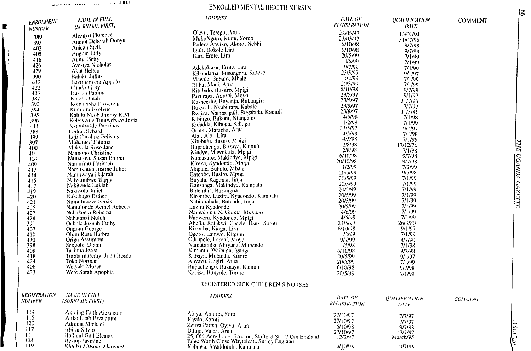$\blacksquare$ 

## **ENROLLED MENTAL HEALTH NURSES**

| <b>ENROLMENT</b> | <b>NAME IN FULL</b><br>(SURNAME FIRST)  | <b>ADDRESS</b>                                                | DATE OF<br><i><b>REGISTRATION</b></i> | <b>QUALIFICATION</b> | <b>COMMENT</b> |
|------------------|-----------------------------------------|---------------------------------------------------------------|---------------------------------------|----------------------|----------------|
| <b>NUMBER</b>    |                                         | Olevu, Terego, Arua                                           | 23/05/97                              | DMTE.                |                |
| 389              | Alezuyo Florence                        | MukoNgoro, Kumi, Soroti                                       | 23/05/97                              | 13/01/94             |                |
| 393              | Amnot Deborah Oonyu                     | Padere-Anviko, Akoro, Nebbi                                   | 6/10/98                               | 31/07/96             |                |
| 402              | Anican Stella                           | Teuli, Dokolo Lita                                            | 6/10/98                               | 9/7/98<br>9/7/98     |                |
| 405              | Angom Lilly                             | Barr, Erute, Lira                                             | 20/5/99                               | 7/1/99               |                |
| 416              | Auma Betty                              |                                                               | 4/(6/99)                              | 7/1/99               |                |
| 426              | Ayesiga Nicholas                        | Adekokwor, Erute, Lira                                        | 9/7/99                                | 7/1/99               |                |
| 429              | Akot Hellen                             | Kibandama, Busongora, Kasese                                  | 23/5/97                               | 9/1/97               |                |
| 390              | <b>Baloku Julius</b>                    | Magale, Bubulo, Mbale                                         | 1/2/99                                | 7/1/99               |                |
| 412              | Bazimenyeta Appolo                      | Elibu, Madi, Arua                                             | 20/5/99                               | 7/1/99               |                |
| 422              | Candini Loy                             | Kitubulo, Busiiro, Mpigi                                      | 6/10/98                               | 9/7/98               |                |
| 403<br>387       | Has on Fatuma<br>Katel Dutah            | Pavuraga, Adropi, Moyo                                        | 23/5/97                               | 9/1/97               |                |
| 392              | Komu risha Proscovia                    | Kasheeshe, Buyanja, Rukungiri                                 | 23/5/97                               | 31/7/96              |                |
| 394              | Kumliira Evelyne                        | Bukwali, Nyaburara, Kabale                                    | 23/8/97                               | 17/7/97              |                |
| 395              | Kalutu Ngob Jimmy K.M.                  | Bwiiza, Namasagali, Bugabula, Kamuli                          | 23/8/97                               | 31/3/81              |                |
| 396              | Kobovenie Tumwebaze Jovia               | Kibingo, Bukoni, Ntungamo                                     | 4/5/98<br>1/2/99                      | 7/1/98               |                |
| 4!1              | Kyambadde Ponsious                      | Kidadda, Kiboga, Kiboga                                       | 23/5/97                               | 7/1/99<br>9/1/97     |                |
| 388              | <b>Ledra Richard</b>                    | Orinzi, Maracha, Arua                                         | 4/5/98                                | 7/1/98               |                |
| ,199             | Leji Caroline Felistus                  | Alal, Aloi, Lira                                              | 4/5/98                                | 7/1/98               |                |
| 397              | Mohamed Fatuma                          | Kitubulu, Busiro, Mpigi                                       | 12/8/98                               | 17/12/76             |                |
| 4(x)             | Mukyola Rose Jane                       | Bupadhengo, Buzaya, Kamuli                                    | 12/8/98                               | 7/1/98               |                |
| 401              | Nannono Christine                       | Nindye, Mawokota, Mpigi<br>Namasuba, Makindye, Mpigi          | 6/10/98                               | 9/7/98               |                |
| 404              | Namatovu Susan Emma<br>Namirimu Harimah | Kireka, Kyadondo, Mpigi                                       | 20/10/98                              | 9/7/98               |                |
| 409<br>413       | Namukhula Justine Juliet                | Magale, Bubulo, Mbale                                         | 1/2/99                                | 7/1/99               |                |
| 414              | Namuwaya Hajarah                        | Entebbe, Busiro, Mpigi                                        | 20/5/99                               | 9/7/98               |                |
| 415              | Naiwumhwe Tappy                         | Buyala, Kagoma, Jinja                                         | 20/5/99                               | 7/1/99               |                |
| 417              | Nakitende Lukiah                        | Kansanga, Makindye, Kampala                                   | 20/5/99                               | 7/1/99               |                |
| 419              | Nakasolo Juliet                         | Bulembia, Busongoa                                            | 20/5/99                               | 7/1/99               |                |
| 420              | Nakabugo Esther                         | Kirombe, Luzira, Kyadondo, Kampala                            | 20/5/99                               | 7/1/99               |                |
| 421              | Numulindwa Persis                       | Nabitambala, Butende, Jinja                                   | 20/5/99                               | 7/1/99               |                |
| 425              | Namulondo Aethel Rebecca                | Luzira Kyadondo                                               | 20/5/99                               | 7/1/99               |                |
| 427              | Nabukeera Rehema                        | Naggalama, Nakituma, Mukono                                   | 4/6/99                                | 7/1/99               |                |
| 428              | Nabatanzi Nuluh                         | Nabweru, Kyadondo, Mpigi                                      | 4/6/99<br>23/5/97                     | 7/1/99<br>26/3/80    |                |
| 391              | Ochola Joseph Cuthy<br>Ongom George     | Abella, Katakwi, Cheele, Usuk, Soroti<br>Kizimba, Kioga, Lira | 6/10/98                               | 9/1/97               |                |
| 407<br>410       | Olum Rose Barbra                        | Ogoro, Lamwo, Kitgum                                          | 1/2/99                                | 7/1/99               |                |
| 430              | Origa Assumpta                          | Odrupele, Laropi, Moyo                                        | 9/7/99                                | 4/7/90               |                |
| 398              | Sengoba Diana                           | Namutamba, Mityana, Mubende                                   | 4/5/98                                | 7/1/98               |                |
| 408              | Tasiima Jesca                           | Kimanto, Waibuga, Iganga                                      | 6/10/98                               | 9/7/98               |                |
| 418              | Turabumuremyi John Bosco                | Kabaya, Mutanda, Kisoro                                       | 20/5/99                               | 9/1/97               |                |
| 424              | Toko Norman                             | Anyavu, Logiri, Arua                                          | 20/5/99                               | 7/1/99               |                |
| 406              | Wetvaki Moses                           | Bupadhengo, Buzaaya, Kamuli                                   | 6/10/98                               | 9/7/98               |                |
| 423              | Were Sarah Apophia                      | Kapisa, Bunyole, Tororo                                       | 20/5/99                               | 7/1/99               |                |
|                  |                                         | REGISTERED SICK CHILDREN'S NURSES                             |                                       |                      |                |
| REGISTRATION     | NAME IN FULL                            | ADDRESS                                                       | DATE OF                               | <b>QUALIFICATION</b> |                |
| <i>NUMBER</i>    | (SURNAME FIRST)                         |                                                               | <b>REGISTRATION</b>                   | DATE-                | <b>COMMENT</b> |
| 114              | Akiding Faith Alexandra                 | Abiya, Amuria, Soroti                                         | 27/10/97                              |                      |                |
| 115              | Ajiko Leah Bwalatum                     | Kasilo, Soroti                                                | 27/10/97                              | 17/7/97              |                |
| 120              | Adrama Michael                          | Zeuva Parish, Oyivu, Arua                                     | 6/10/98                               | 17/7/97              |                |
| 117              | Abiria Silvio                           | Ullupi, Vurra, Arua                                           | 27/10/97                              | 9/7/98<br>17/7/97    |                |
| 111              | Holland Gail Eleanor                    | 25, Old Acre Lane, Brocton, Stafford St. 17 Otn England       | 12/2/97                               | March/95             |                |
| 124              | Heslop Jasmine                          | Edge Worth Close Whyteleate Surrey England                    |                                       |                      |                |
| 119              | Kimiba Musoke Marearet                  | Kabowa, Kyaddondo, Kampata                                    | 0/10098                               | <b>MANK</b>          |                |

18тн Евг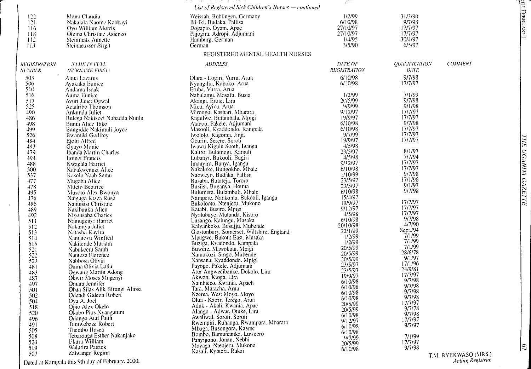|                                                                       |                                                                                                                                     | List of Registered Sick Children's Nurses - continued                                                                                     |                                                               |                                                              |                        |
|-----------------------------------------------------------------------|-------------------------------------------------------------------------------------------------------------------------------------|-------------------------------------------------------------------------------------------------------------------------------------------|---------------------------------------------------------------|--------------------------------------------------------------|------------------------|
| $\begin{array}{c} 122 \\ 121 \end{array}$<br>116<br>118<br>112<br>113 | Mann Claudia<br>Nakalala Naome Kabbayi<br>Oyo William Morris<br>Otema Christine Asienzo<br>Steinmatz Annette<br>Steinaeusser Birgit | Weissah, Boblingen, Germany<br>Iki-Iki, Budaka, Pallisa<br>Dogapio, Oyam, Apac<br>Pajogira, Adropi, Adjumani<br>Hamburg, German<br>German | 1/2/99<br>6/10/98<br>27/10/97<br>27/10/97<br>1/4/95<br>3/5/90 | 31/3/90<br>9/7/98<br>17/7/97<br>17/7/97<br>30/4/97<br>6/5/97 |                        |
|                                                                       |                                                                                                                                     | REGISTERED MENTAL HEALTH NURSES                                                                                                           |                                                               |                                                              |                        |
| <b>REGISTRATION</b><br><b>NUMBER</b>                                  | NAME IN FUI L<br><b>(SURNAME FIRST)</b>                                                                                             | ADDRESS                                                                                                                                   | DATE OF<br><b>REGISTRATION</b>                                | <b>QUALIFICATION</b><br>DATE                                 | <b>COMMENT</b>         |
| 503<br>506<br>510                                                     | Anua Lazarus<br>'Avakaka Eunice'                                                                                                    | Olara - Logiri, Vurra, Arua<br>Nyangilia, Koboko, Arua                                                                                    | 6/10/98<br>6/10/98                                            | 9/7/98<br>17/7/97                                            |                        |
| 516<br>517                                                            | Andama Isaak<br>Auma Eunice<br>Ayuri Janet Ogwal                                                                                    | Eruba, Vurra, Arua<br>Nabulamu, Masafu, Busia<br>Akangi, Erute, Lira                                                                      | 1/2/99<br>20/5/99                                             | 7/1/99<br>9/7/98                                             |                        |
| 525<br>490<br>486                                                     | Acadribo Thomson<br>Ankunda Juliet<br>Bulega Nakisozi Nabadda Nuulu                                                                 | Micu, Ayivu, Arua<br>Mirongo, Kashari, Mbarara<br>Kagulwe, Butambala, Mpigi                                                               | 9/9/99<br>9/12/97<br>19/9/97                                  | 9/1/98<br>17/7/97<br>17/7/97                                 |                        |
| 498<br>499<br>526                                                     | Bunia Alice Tako<br>Bangidde Nakimuli Joyce<br>Bwamiki Godfrey                                                                      | Ataboo, Pakele, Adjumani<br>Masooli, Kyaddondo, Kampala<br>Iwololo, Kagoma, Jinja                                                         | 6/10/98<br>6/10/98<br>9/7/99                                  | 9/7/98<br>17/7/97<br>17/7/97                                 |                        |
| 484<br>493<br>479                                                     | Ejolu Alfred<br>Gyayo Monic<br>Ibanda Martin Charles                                                                                | Oburin, Serere, Soroti<br>Iwawu Kigulu Sooth, Iganga<br>Kaliro, Bulamogi, Kamuli                                                          | 19/9/97<br>4/5/98<br>23/5/97                                  | 17/7/97<br>8/1/97                                            |                        |
| 494<br>488<br>500                                                     | Itomet Francis<br>Kwagala Harriet                                                                                                   | Lubanyi, Bukooli, Bugiri<br>Imanyiro, Bunya, Iganga<br>Nakaloke, Bungokho, Mbale                                                          | 4/5/98<br>9/12/97<br>6/10/98                                  | 7/7/94<br>17/7/97<br>17/7/97                                 |                        |
| 537<br>477                                                            | Kabakwenuzi Alice<br>Kasolo Yoab Semu<br>Mugaba Alice                                                                               | Nabweyo, Budaka, Pallisa<br>Busaba, Butaleja, Tororo                                                                                      | 1/10/99<br>23/5/97                                            | 9/7/98<br>17/1/96<br>9/1/97                                  |                        |
| 478<br>495<br>476                                                     | Mitêto Beatrice<br>Musoto Alex Bwonya<br>Naigaga Kizza Rosé                                                                         | Busiisi, Buganya, Hoima<br>Bulumera, Bulambuli, Mbale<br>Nampere, Nankoma, Bukooli, Iganga                                                | 23/5/97<br>6/10/98<br>15/4/97                                 | 9/7/98                                                       |                        |
| 486<br>489<br>492                                                     | Namusisi Christine<br>Nakibuuka Allen<br>Niyonsaba Charles                                                                          | Bukolooto, Ntenjeru, Mukono<br>Katabi, Busiro, Mpigi<br>Nyalubuye, Mutanda, Kisoro                                                        | 19/9/97<br>9/12/97<br>4/5/98                                  | 17/7/97<br>17/7/97<br>17/7/97                                |                        |
| 511<br>512<br>513                                                     | Namugenyi Harriet<br>Nakamya Juliet<br>Natasha Kayira                                                                               | Lusango, Kalungu, Masaka<br>Kalyankoko, Busujju, Mubende<br>Glastonbury, Somerset, Wiltshire, England                                     | 6/10/98<br>20/10/98<br>22/1/99                                | 9/7/98<br>4/7/90<br>Sept./94                                 |                        |
| 514<br>515                                                            | Namatovu Winfred<br>Nakitende Mariam                                                                                                | Mpugwe, Bukoto East, Masaka<br>Buziga, Kyadondo, Kampala<br>Buwere, Mawokota, Mpigi                                                       | 1/2/99<br>1/2/99<br>20/5/99                                   | 7/1/99<br>7/1/99<br>7/1/99                                   |                        |
| 521<br>522<br>523                                                     | Nabukeera Sarah<br>Nanteza Florence<br>Nabbosa Olivia                                                                               | Namukozi, Singo, Mubende<br>Nansana, Kyaddondo, Mpigi                                                                                     | 20/5/99<br>20/5/99<br>23/5/97                                 | 28/6/78<br>9/1/97<br>17/1/96                                 |                        |
| 481<br>483<br>487                                                     | Ouma Olivia Lalia<br>Ogwang Martin Adong<br>Okwir Moses Mugenyi                                                                     | Payogo, Pakele, Adjumani<br>Atur Angwecibanke, Dokolo, Lira<br>Akwon, Kioga, Lira                                                         | 23/5/97<br>19/9/97<br>6/10/98                                 | 24/9/81<br>17/7/97<br>9/7/98                                 |                        |
| 497<br>501<br>502                                                     | Omara Jennifer<br>Obaa Silas Alik Birungi Aliosa<br>Odendi Gideon Robert                                                            | Nambieco, Kwania, Apach<br>Tara, Maracha, Arua<br>Nzerea. West Moyo. Moyo                                                                 | 6/10/98<br>6/10/98                                            | 9/7/98<br>9/7/98<br>9/7/98                                   |                        |
| $50+$<br>518<br>520                                                   | Ova A. Joel<br>Opio Alex Okelo<br>Okabo Pius Nyangatum                                                                              | Olua - Katriri Terego, Arua<br>Aduk - Akali, Kwania, Apac<br>Alango - Adwar, Otuke, Lira                                                  | 6/10/98<br>20/5/99<br>20/5/99                                 | 17/7/97<br>9/7/78                                            |                        |
| 496<br>491                                                            | Odongo Atai Faith<br>Tumwebaze Robert<br>Thembo Hosea                                                                               | Awaliwal, Soroti, Soroti<br>Rwempiri, Ruhanga, Rwampara, Mbarara<br>Mbuga, Busongora, Kasese                                              | 6/10/98<br>9/12/97<br>6/10/98                                 | 9/7/98<br>17/7/97<br>9/7/97                                  |                        |
| 505<br>508<br>524                                                     | Tebasaaga Esther Nakanjako<br>Ukura William                                                                                         | Bombo, Bamunanika, Luweero<br>Panyigono, Jonan, Nebbi                                                                                     | 6/10/98<br>0/7/99<br>20/5/99                                  | 7/1/99<br>17/7/97                                            |                        |
| 519<br>507                                                            | Walarira Patrick<br>Zalwango Regina                                                                                                 | Mayaga, Ntenjeru, Mukono<br>Kasali, Kyotera, Rakat                                                                                        | 6/10/98                                                       | 9/7/98                                                       | <b>TM BYEKWASO (MR</b> |

S Film

Dated at Kampala this 9th day of February. 2000.

T.M. BYEKWASO (MRS.) *Acting Registrar.*

**THE UGAMIA GAZETTE** *UGANDA GAZETTE*

February]\_\_\_\_\_\_\_\_\_\_\_\_\_\_\_\_\_\_\_\_\_\_\_\_\_\_\_\_\_\_\_\_\_

ー<br>エ

 $\sqrt{3}$